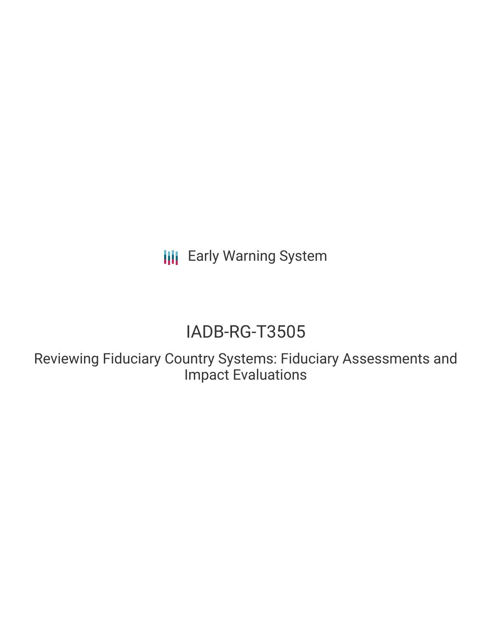**III** Early Warning System

# IADB-RG-T3505

Reviewing Fiduciary Country Systems: Fiduciary Assessments and Impact Evaluations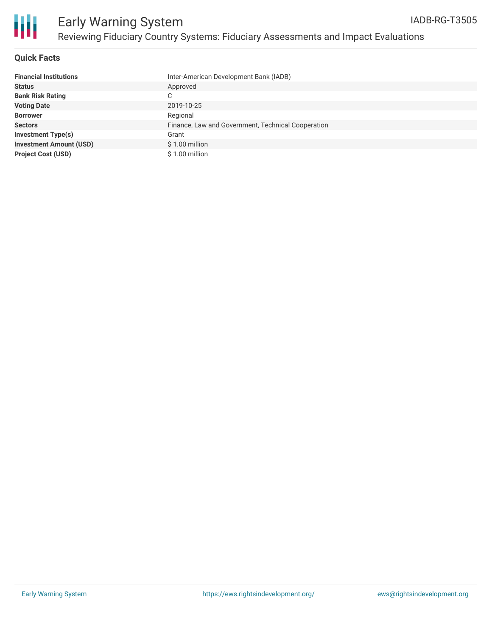

### **Quick Facts**

| <b>Financial Institutions</b>  | Inter-American Development Bank (IADB)             |
|--------------------------------|----------------------------------------------------|
| <b>Status</b>                  | Approved                                           |
| <b>Bank Risk Rating</b>        | C                                                  |
| <b>Voting Date</b>             | 2019-10-25                                         |
| <b>Borrower</b>                | Regional                                           |
| <b>Sectors</b>                 | Finance, Law and Government, Technical Cooperation |
| <b>Investment Type(s)</b>      | Grant                                              |
| <b>Investment Amount (USD)</b> | $$1.00$ million                                    |
| <b>Project Cost (USD)</b>      | \$1.00 million                                     |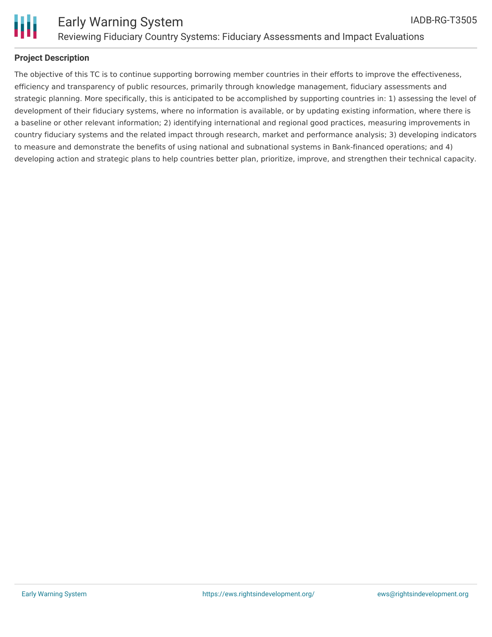

### **Project Description**

The objective of this TC is to continue supporting borrowing member countries in their efforts to improve the effectiveness, efficiency and transparency of public resources, primarily through knowledge management, fiduciary assessments and strategic planning. More specifically, this is anticipated to be accomplished by supporting countries in: 1) assessing the level of development of their fiduciary systems, where no information is available, or by updating existing information, where there is a baseline or other relevant information; 2) identifying international and regional good practices, measuring improvements in country fiduciary systems and the related impact through research, market and performance analysis; 3) developing indicators to measure and demonstrate the benefits of using national and subnational systems in Bank-financed operations; and 4) developing action and strategic plans to help countries better plan, prioritize, improve, and strengthen their technical capacity.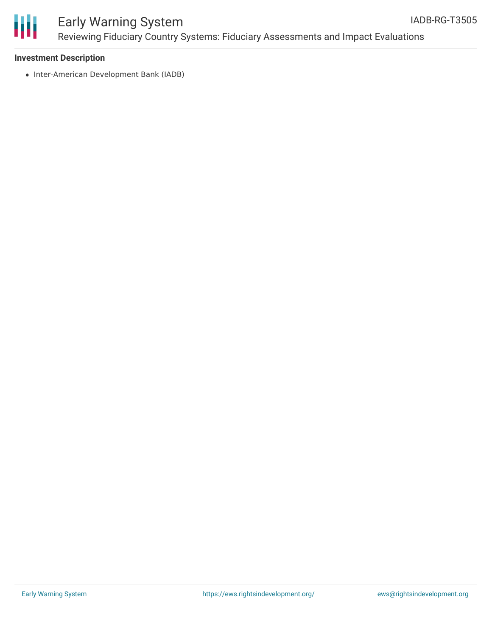

# Early Warning System Reviewing Fiduciary Country Systems: Fiduciary Assessments and Impact Evaluations

#### **Investment Description**

• Inter-American Development Bank (IADB)